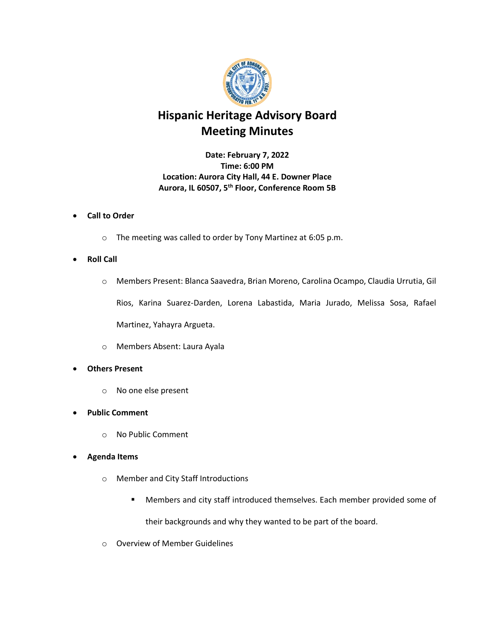

## **Hispanic Heritage Advisory Board Meeting Minutes**

**Date: February 7, 2022 Time: 6:00 PM Location: Aurora City Hall, 44 E. Downer Place Aurora, IL 60507, 5th Floor, Conference Room 5B**

## • **Call to Order**

o The meeting was called to order by Tony Martinez at 6:05 p.m.

## • **Roll Call**

- o Members Present: Blanca Saavedra, Brian Moreno, Carolina Ocampo, Claudia Urrutia, Gil Rios, Karina Suarez-Darden, Lorena Labastida, Maria Jurado, Melissa Sosa, Rafael Martinez, Yahayra Argueta.
- o Members Absent: Laura Ayala
- **Others Present**
	- o No one else present
- **Public Comment**
	- o No Public Comment

## • **Agenda Items**

- o Member and City Staff Introductions
	- Members and city staff introduced themselves. Each member provided some of their backgrounds and why they wanted to be part of the board.
- o Overview of Member Guidelines